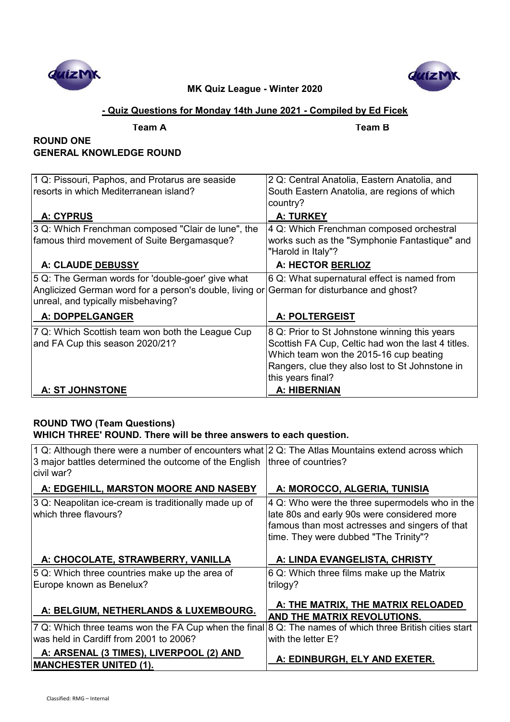



## **- Quiz Questions for Monday 14th June 2021 - Compiled by Ed Ficek**

**Team A Team B**

# **ROUND ONE GENERAL KNOWLEDGE ROUND**

| 1 Q: Pissouri, Paphos, and Protarus are seaside                                           | 2 Q: Central Anatolia, Eastern Anatolia, and       |
|-------------------------------------------------------------------------------------------|----------------------------------------------------|
| resorts in which Mediterranean island?                                                    | South Eastern Anatolia, are regions of which       |
|                                                                                           | country?                                           |
| A: CYPRUS                                                                                 | <b>A: TURKEY</b>                                   |
| 3 Q: Which Frenchman composed "Clair de lune", the                                        | 4 Q: Which Frenchman composed orchestral           |
| famous third movement of Suite Bergamasque?                                               | works such as the "Symphonie Fantastique" and      |
|                                                                                           | "Harold in Italy"?                                 |
| A: CLAUDE DEBUSSY                                                                         | A: HECTOR BERLIOZ                                  |
| 5 Q: The German words for 'double-goer' give what                                         | 6 Q: What supernatural effect is named from        |
| Anglicized German word for a person's double, living or German for disturbance and ghost? |                                                    |
| unreal, and typically misbehaving?                                                        |                                                    |
| A: DOPPELGANGER                                                                           | <b>A: POLTERGEIST</b>                              |
| 7 Q: Which Scottish team won both the League Cup                                          | 8 Q: Prior to St Johnstone winning this years      |
| and FA Cup this season 2020/21?                                                           | Scottish FA Cup, Celtic had won the last 4 titles. |
|                                                                                           | Which team won the 2015-16 cup beating             |
|                                                                                           | Rangers, clue they also lost to St Johnstone in    |
|                                                                                           | this years final?                                  |
| <b>A: ST JOHNSTONE</b>                                                                    | A: HIBERNIAN                                       |

# **ROUND TWO (Team Questions) WHICH THREE' ROUND. There will be three answers to each question.**

| 1 Q: Although there were a number of encounters what $2$ Q: The Atlas Mountains extend across which |                                                    |
|-----------------------------------------------------------------------------------------------------|----------------------------------------------------|
| 3 major battles determined the outcome of the English three of countries?                           |                                                    |
| civil war?                                                                                          |                                                    |
| A: EDGEHILL, MARSTON MOORE AND NASEBY                                                               | A: MOROCCO, ALGERIA, TUNISIA                       |
| 3 Q: Neapolitan ice-cream is traditionally made up of                                               | $ 4 Q$ : Who were the three supermodels who in the |
| which three flavours?                                                                               | late 80s and early 90s were considered more        |
|                                                                                                     | famous than most actresses and singers of that     |
|                                                                                                     | time. They were dubbed "The Trinity"?              |
|                                                                                                     |                                                    |
| A: CHOCOLATE, STRAWBERRY, VANILLA                                                                   | A: LINDA EVANGELISTA, CHRISTY                      |
| 5 Q: Which three countries make up the area of                                                      | 6 Q: Which three films make up the Matrix          |
| Europe known as Benelux?                                                                            | trilogy?                                           |
|                                                                                                     |                                                    |
| A: BELGIUM, NETHERLANDS & LUXEMBOURG.                                                               | A: THE MATRIX, THE MATRIX RELOADED                 |
|                                                                                                     | AND THE MATRIX REVOLUTIONS.                        |
| 7 Q: Which three teams won the FA Cup when the final                                                | 8 Q: The names of which three British cities start |
| was held in Cardiff from 2001 to 2006?                                                              | with the letter E?                                 |
| A: ARSENAL (3 TIMES), LIVERPOOL (2) AND                                                             |                                                    |
| <b>MANCHESTER UNITED (1).</b>                                                                       | A: EDINBURGH, ELY AND EXETER.                      |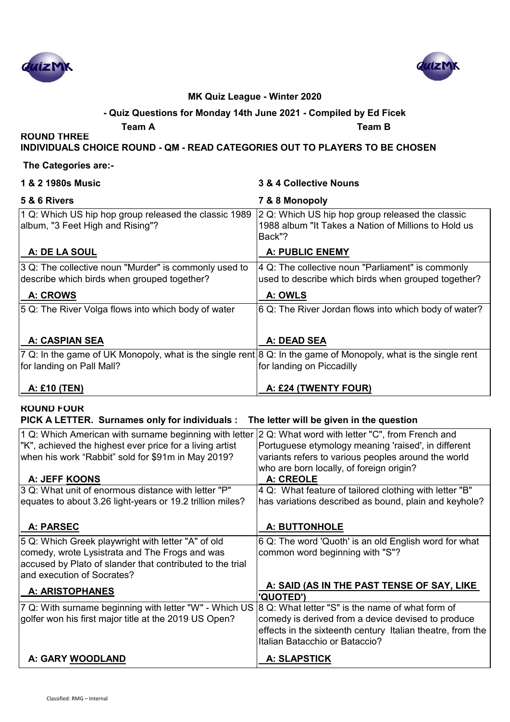



# **- Quiz Questions for Monday 14th June 2021 - Compiled by Ed Ficek**

**Team A Team B**

**ROUND THREE INDIVIDUALS CHOICE ROUND - QM - READ CATEGORIES OUT TO PLAYERS TO BE CHOSEN**

#### **The Categories are:-**

| 1 & 2 1980s Music                                                                                                                           | 3 & 4 Collective Nouns                                                                                             |
|---------------------------------------------------------------------------------------------------------------------------------------------|--------------------------------------------------------------------------------------------------------------------|
| 5 & 6 Rivers                                                                                                                                | 7 & 8 Monopoly                                                                                                     |
| 1 Q: Which US hip hop group released the classic 1989<br>album, "3 Feet High and Rising"?                                                   | 2 Q: Which US hip hop group released the classic<br>1988 album "It Takes a Nation of Millions to Hold us<br>Back"? |
| A: DE LA SOUL                                                                                                                               | <b>A: PUBLIC ENEMY</b>                                                                                             |
| 3 Q: The collective noun "Murder" is commonly used to<br>describe which birds when grouped together?                                        | 4 Q: The collective noun "Parliament" is commonly<br>used to describe which birds when grouped together?           |
| <b>A: CROWS</b>                                                                                                                             | A: OWLS                                                                                                            |
| 5 Q: The River Volga flows into which body of water                                                                                         | 6 Q: The River Jordan flows into which body of water?                                                              |
| <b>A: CASPIAN SEA</b>                                                                                                                       | A: DEAD SEA                                                                                                        |
| 7 Q: In the game of UK Monopoly, what is the single rent 8 Q: In the game of Monopoly, what is the single rent<br>for landing on Pall Mall? | for landing on Piccadilly                                                                                          |
| A: £10 (TEN)                                                                                                                                | A: £24 (TWENTY FOUR)                                                                                               |

### **ROUND FOUR**

**PICK A LETTER. Surnames only for individuals : The letter will be given in the question** 

| 1 Q: Which American with surname beginning with letter 2 Q: What word with letter "C", from French and |                                                            |
|--------------------------------------------------------------------------------------------------------|------------------------------------------------------------|
| "K", achieved the highest ever price for a living artist                                               | Portuguese etymology meaning 'raised', in different        |
| when his work "Rabbit" sold for \$91m in May 2019?                                                     | variants refers to various peoples around the world        |
|                                                                                                        | who are born locally, of foreign origin?                   |
| A: JEFF KOONS                                                                                          | A: CREOLE                                                  |
| 3 Q: What unit of enormous distance with letter "P"                                                    | 4 Q: What feature of tailored clothing with letter "B"     |
| equates to about 3.26 light-years or 19.2 trillion miles?                                              | has variations described as bound, plain and keyhole?      |
|                                                                                                        |                                                            |
| A: PARSEC                                                                                              | <b>A: BUTTONHOLE</b>                                       |
| 5 Q: Which Greek playwright with letter "A" of old                                                     | 6 Q: The word 'Quoth' is an old English word for what      |
| comedy, wrote Lysistrata and The Frogs and was                                                         | common word beginning with "S"?                            |
| accused by Plato of slander that contributed to the trial                                              |                                                            |
| and execution of Socrates?                                                                             |                                                            |
|                                                                                                        | A: SAID (AS IN THE PAST TENSE OF SAY, LIKE                 |
| <b>A: ARISTOPHANES</b>                                                                                 | <b>'QUOTED')</b>                                           |
| 7 Q: With surname beginning with letter "W" - Which US                                                 | 8 Q: What letter "S" is the name of what form of           |
| golfer won his first major title at the 2019 US Open?                                                  | comedy is derived from a device devised to produce         |
|                                                                                                        | effects in the sixteenth century Italian theatre, from the |
|                                                                                                        | Italian Batacchio or Bataccio?                             |
|                                                                                                        |                                                            |
| A: GARY WOODLAND                                                                                       | <b>A: SLAPSTICK</b>                                        |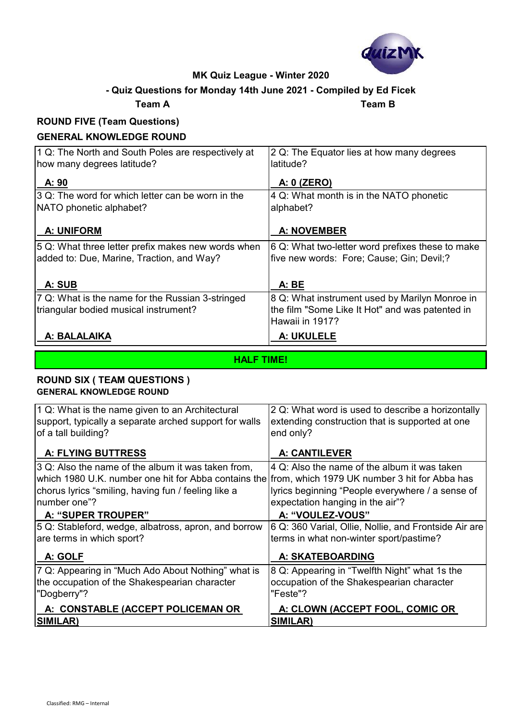

## **- Quiz Questions for Monday 14th June 2021 - Compiled by Ed Ficek**

**Team A Team B**

#### **ROUND FIVE (Team Questions) GENERAL KNOWLEDGE ROUND**

| GENERAL RIVOWLEDGE ROOND                           |                                                  |
|----------------------------------------------------|--------------------------------------------------|
| 1 Q: The North and South Poles are respectively at | 2 Q: The Equator lies at how many degrees        |
| how many degrees latitude?                         | latitude?                                        |
|                                                    |                                                  |
| A: 90                                              | A: 0 (ZERO)                                      |
| 3 Q: The word for which letter can be worn in the  | 4 Q: What month is in the NATO phonetic          |
| NATO phonetic alphabet?                            | alphabet?                                        |
|                                                    |                                                  |
| <b>A: UNIFORM</b>                                  | <b>A: NOVEMBER</b>                               |
| 5 Q: What three letter prefix makes new words when | 6 Q: What two-letter word prefixes these to make |
| added to: Due, Marine, Traction, and Way?          | five new words: Fore; Cause; Gin; Devil;?        |
|                                                    |                                                  |
| A: SUB                                             | A: BE                                            |
| 7 Q: What is the name for the Russian 3-stringed   | 8 Q: What instrument used by Marilyn Monroe in   |
| triangular bodied musical instrument?              | the film "Some Like It Hot" and was patented in  |
|                                                    | Hawaii in 1917?                                  |
| A: BALALAIKA                                       | A: UKULELE                                       |
|                                                    |                                                  |

**HALF TIME!**

## **ROUND SIX ( TEAM QUESTIONS ) GENERAL KNOWLEDGE ROUND**

| 1 Q: What is the name given to an Architectural<br>support, typically a separate arched support for walls<br>of a tall building? | 2 Q: What word is used to describe a horizontally<br>extending construction that is supported at one<br>end only? |
|----------------------------------------------------------------------------------------------------------------------------------|-------------------------------------------------------------------------------------------------------------------|
| <b>A: FLYING BUTTRESS</b>                                                                                                        | <b>A: CANTILEVER</b>                                                                                              |
| 3 Q: Also the name of the album it was taken from,                                                                               | 4 Q: Also the name of the album it was taken                                                                      |
| which 1980 U.K. number one hit for Abba contains the from, which 1979 UK number 3 hit for Abba has                               |                                                                                                                   |
| chorus lyrics "smiling, having fun / feeling like a                                                                              | lyrics beginning "People everywhere / a sense of                                                                  |
| number one"?                                                                                                                     | expectation hanging in the air"?                                                                                  |
| A: "SUPER TROUPER"                                                                                                               | A: "VOULEZ-VOUS"                                                                                                  |
| 5 Q: Stableford, wedge, albatross, apron, and borrow                                                                             | 6 Q: 360 Varial, Ollie, Nollie, and Frontside Air are                                                             |
| are terms in which sport?                                                                                                        | terms in what non-winter sport/pastime?                                                                           |
| A: GOLF                                                                                                                          | A: SKATEBOARDING                                                                                                  |
| 7 Q: Appearing in "Much Ado About Nothing" what is                                                                               | 8 Q: Appearing in "Twelfth Night" what 1s the                                                                     |
| the occupation of the Shakespearian character                                                                                    | occupation of the Shakespearian character                                                                         |
| "Dogberry"?                                                                                                                      | "Feste"?                                                                                                          |
| A: CONSTABLE (ACCEPT POLICEMAN OR                                                                                                | A: CLOWN (ACCEPT FOOL, COMIC OR                                                                                   |
| SIMILAR)                                                                                                                         | SIMILAR)                                                                                                          |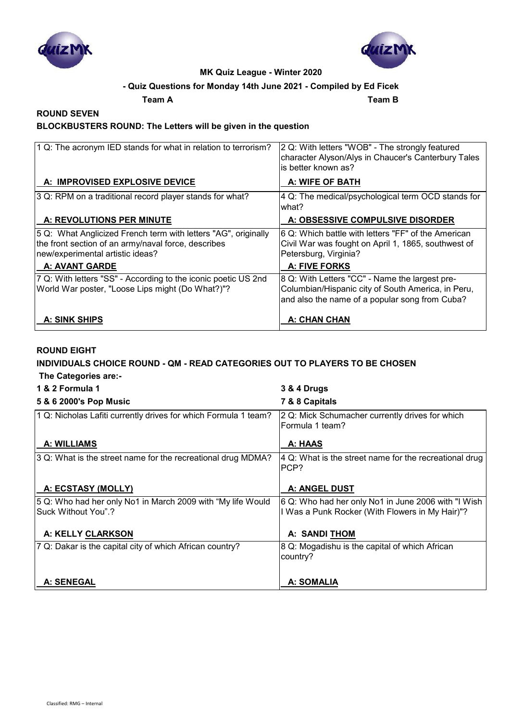



### **- Quiz Questions for Monday 14th June 2021 - Compiled by Ed Ficek**

**Team A Team B**

#### **ROUND SEVEN BLOCKBUSTERS ROUND: The Letters will be given in the question**

| 1 Q: The acronym IED stands for what in relation to terrorism?                                                                                            | 2 Q: With letters "WOB" - The strongly featured<br>character Alyson/Alys in Chaucer's Canterbury Tales<br>is better known as?                          |
|-----------------------------------------------------------------------------------------------------------------------------------------------------------|--------------------------------------------------------------------------------------------------------------------------------------------------------|
| A: IMPROVISED EXPLOSIVE DEVICE                                                                                                                            | A: WIFE OF BATH                                                                                                                                        |
| 3 Q: RPM on a traditional record player stands for what?                                                                                                  | 4 Q: The medical/psychological term OCD stands for<br>lwhat?                                                                                           |
| A: REVOLUTIONS PER MINUTE                                                                                                                                 | A: OBSESSIVE COMPULSIVE DISORDER                                                                                                                       |
| 5 Q: What Anglicized French term with letters "AG", originally<br>the front section of an army/naval force, describes<br>new/experimental artistic ideas? | I6 Q: Which battle with letters "FF" of the American<br>Civil War was fought on April 1, 1865, southwest of<br>Petersburg, Virginia?                   |
| <b>A: AVANT GARDE</b>                                                                                                                                     | <b>A: FIVE FORKS</b>                                                                                                                                   |
| 7 Q: With letters "SS" - According to the iconic poetic US 2nd<br>World War poster, "Loose Lips might (Do What?)"?                                        | 8 Q: With Letters "CC" - Name the largest pre-<br>Columbian/Hispanic city of South America, in Peru,<br>and also the name of a popular song from Cuba? |
| A: SINK SHIPS                                                                                                                                             | A: CHAN CHAN                                                                                                                                           |

### **ROUND EIGHT**

#### **INDIVIDUALS CHOICE ROUND - QM - READ CATEGORIES OUT TO PLAYERS TO BE CHOSEN The Categories are:-**

| <u>THE AMMANINA MIDI</u>                                        |                                                                    |
|-----------------------------------------------------------------|--------------------------------------------------------------------|
| 1 & 2 Formula 1                                                 | 3 & 4 Drugs                                                        |
| 5 & 6 2000's Pop Music                                          | 7 & 8 Capitals                                                     |
| 1 Q: Nicholas Lafiti currently drives for which Formula 1 team? | 2 Q: Mick Schumacher currently drives for which<br>Formula 1 team? |
| A: WILLIAMS                                                     | A: HAAS                                                            |
| 3 Q: What is the street name for the recreational drug MDMA?    | 4 Q: What is the street name for the recreational drug<br>PCP?     |
| A: ECSTASY (MOLLY)                                              | A: ANGEL DUST                                                      |
| 5 Q: Who had her only No1 in March 2009 with "My life Would     | 6 Q: Who had her only No1 in June 2006 with "I Wish                |
| lSuck Without You".?                                            | I Was a Punk Rocker (With Flowers in My Hair)"?                    |
| A: KELLY CLARKSON                                               | <b>A: SANDI THOM</b>                                               |
| 7 Q: Dakar is the capital city of which African country?        | 8 Q: Mogadishu is the capital of which African<br>country?         |
| <b>A: SENEGAL</b>                                               | A: SOMALIA                                                         |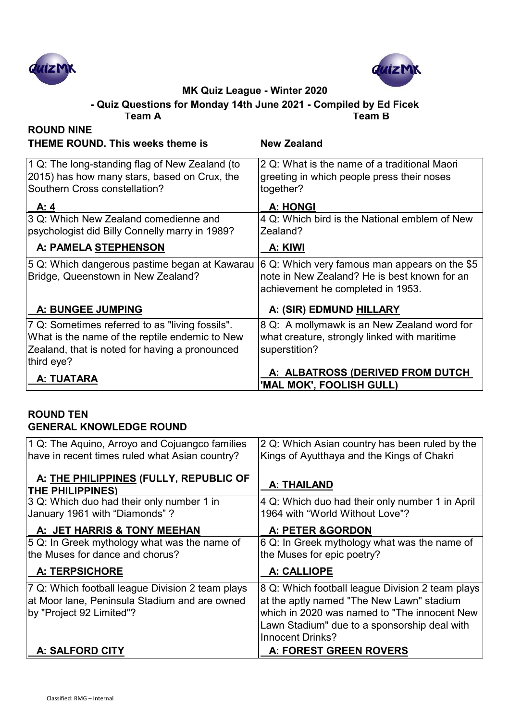



**Team A Team B - Quiz Questions for Monday 14th June 2021 - Compiled by Ed Ficek**

| <b>ROUND NINE</b>                                                                                                                                                 |                                                                                                                                    |
|-------------------------------------------------------------------------------------------------------------------------------------------------------------------|------------------------------------------------------------------------------------------------------------------------------------|
| <b>THEME ROUND. This weeks theme is</b>                                                                                                                           | <b>New Zealand</b>                                                                                                                 |
| 1 Q: The long-standing flag of New Zealand (to<br>2015) has how many stars, based on Crux, the<br>Southern Cross constellation?                                   | 2 Q: What is the name of a traditional Maori<br>greeting in which people press their noses<br>together?                            |
| A: 4                                                                                                                                                              | <b>A: HONGI</b>                                                                                                                    |
| 3 Q: Which New Zealand comedienne and<br>psychologist did Billy Connelly marry in 1989?                                                                           | 4 Q: Which bird is the National emblem of New<br>Zealand?                                                                          |
| A: PAMELA STEPHENSON                                                                                                                                              | A: KIWI                                                                                                                            |
| 5 Q: Which dangerous pastime began at Kawarau<br>Bridge, Queenstown in New Zealand?                                                                               | 6 Q: Which very famous man appears on the \$5<br>note in New Zealand? He is best known for an<br>achievement he completed in 1953. |
| A: BUNGEE JUMPING                                                                                                                                                 | A: (SIR) EDMUND HILLARY                                                                                                            |
| 7 Q: Sometimes referred to as "living fossils".<br>What is the name of the reptile endemic to New<br>Zealand, that is noted for having a pronounced<br>third eye? | 8 Q: A mollymawk is an New Zealand word for<br>what creature, strongly linked with maritime<br>superstition?                       |
| A: TUATARA                                                                                                                                                        | A: ALBATROSS (DERIVED FROM DUTCH)<br>'MAL MOK', FOOLISH GULL)                                                                      |

## **ROUND TEN GENERAL KNOWLEDGE ROUND**

| 1 Q: The Aquino, Arroyo and Cojuangco families<br>have in recent times ruled what Asian country?                              | 2 Q: Which Asian country has been ruled by the<br>Kings of Ayutthaya and the Kings of Chakri                                                                                                                             |
|-------------------------------------------------------------------------------------------------------------------------------|--------------------------------------------------------------------------------------------------------------------------------------------------------------------------------------------------------------------------|
| A: THE PHILIPPINES (FULLY, REPUBLIC OF<br><b>THE PHILIPPINES)</b>                                                             | <b>A: THAILAND</b>                                                                                                                                                                                                       |
| 3 Q: Which duo had their only number 1 in<br>January 1961 with "Diamonds"?                                                    | 4 Q: Which duo had their only number 1 in April<br>1964 with "World Without Love"?                                                                                                                                       |
| A: JET HARRIS & TONY MEEHAN                                                                                                   | A: PETER & GORDON                                                                                                                                                                                                        |
| 5 Q: In Greek mythology what was the name of<br>the Muses for dance and chorus?                                               | 6 Q: In Greek mythology what was the name of<br>the Muses for epic poetry?                                                                                                                                               |
| <b>A: TERPSICHORE</b>                                                                                                         | A: CALLIOPE                                                                                                                                                                                                              |
| 7 Q: Which football league Division 2 team plays<br>at Moor lane, Peninsula Stadium and are owned<br>by "Project 92 Limited"? | 8 Q: Which football league Division 2 team plays<br>at the aptly named "The New Lawn" stadium<br>which in 2020 was named to "The innocent New<br>Lawn Stadium" due to a sponsorship deal with<br><b>Innocent Drinks?</b> |
| A: SALFORD CITY                                                                                                               | A: FOREST GREEN ROVERS                                                                                                                                                                                                   |